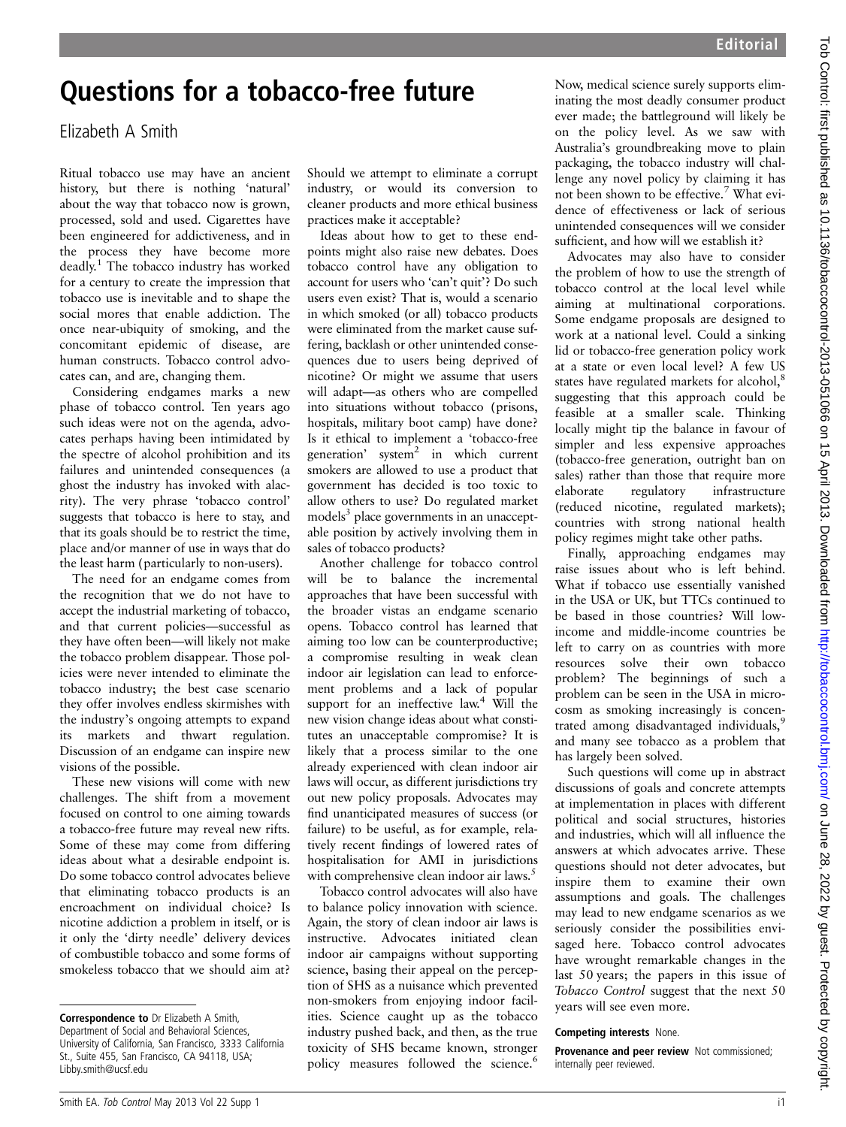## Questions for a tobacco-free future

Elizabeth A Smith

Ritual tobacco use may have an ancient history, but there is nothing 'natural' about the way that tobacco now is grown, processed, sold and used. Cigarettes have been engineered for addictiveness, and in the process they have become more deadly.<sup>1</sup> The tobacco industry has worked for a century to create the impression that tobacco use is inevitable and to shape the social mores that enable addiction. The once near-ubiquity of smoking, and the concomitant epidemic of disease, are human constructs. Tobacco control advocates can, and are, changing them.

Considering endgames marks a new phase of tobacco control. Ten years ago such ideas were not on the agenda, advocates perhaps having been intimidated by the spectre of alcohol prohibition and its failures and unintended consequences (a ghost the industry has invoked with alacrity). The very phrase 'tobacco control' suggests that tobacco is here to stay, and that its goals should be to restrict the time, place and/or manner of use in ways that do the least harm (particularly to non-users).

The need for an endgame comes from the recognition that we do not have to accept the industrial marketing of tobacco, and that current policies—successful as they have often been—will likely not make the tobacco problem disappear. Those policies were never intended to eliminate the tobacco industry; the best case scenario they offer involves endless skirmishes with the industry's ongoing attempts to expand its markets and thwart regulation. Discussion of an endgame can inspire new visions of the possible.

These new visions will come with new challenges. The shift from a movement focused on control to one aiming towards a tobacco-free future may reveal new rifts. Some of these may come from differing ideas about what a desirable endpoint is. Do some tobacco control advocates believe that eliminating tobacco products is an encroachment on individual choice? Is nicotine addiction a problem in itself, or is it only the 'dirty needle' delivery devices of combustible tobacco and some forms of smokeless tobacco that we should aim at?

Should we attempt to eliminate a corrupt industry, or would its conversion to cleaner products and more ethical business practices make it acceptable?

Ideas about how to get to these endpoints might also raise new debates. Does tobacco control have any obligation to account for users who 'can't quit'? Do such users even exist? That is, would a scenario in which smoked (or all) tobacco products were eliminated from the market cause suffering, backlash or other unintended consequences due to users being deprived of nicotine? Or might we assume that users will adapt—as others who are compelled into situations without tobacco (prisons, hospitals, military boot camp) have done? Is it ethical to implement a 'tobacco-free generation' system $2$  in which current smokers are allowed to use a product that government has decided is too toxic to allow others to use? Do regulated market models<sup>3</sup> place governments in an unacceptable position by actively involving them in sales of tobacco products?

Another challenge for tobacco control will be to balance the incremental approaches that have been successful with the broader vistas an endgame scenario opens. Tobacco control has learned that aiming too low can be counterproductive; a compromise resulting in weak clean indoor air legislation can lead to enforcement problems and a lack of popular support for an ineffective law.<sup>4</sup> Will the new vision change ideas about what constitutes an unacceptable compromise? It is likely that a process similar to the one already experienced with clean indoor air laws will occur, as different jurisdictions try out new policy proposals. Advocates may find unanticipated measures of success (or failure) to be useful, as for example, relatively recent findings of lowered rates of hospitalisation for AMI in jurisdictions with comprehensive clean indoor air laws.<sup>5</sup>

Tobacco control advocates will also have to balance policy innovation with science. Again, the story of clean indoor air laws is instructive. Advocates initiated clean indoor air campaigns without supporting science, basing their appeal on the perception of SHS as a nuisance which prevented non-smokers from enjoying indoor facilities. Science caught up as the tobacco industry pushed back, and then, as the true toxicity of SHS became known, stronger policy measures followed the science.<sup>6</sup>

Now, medical science surely supports eliminating the most deadly consumer product ever made; the battleground will likely be on the policy level. As we saw with Australia's groundbreaking move to plain packaging, the tobacco industry will challenge any novel policy by claiming it has not been shown to be effective.<sup>7</sup> What evidence of effectiveness or lack of serious unintended consequences will we consider sufficient, and how will we establish it?

Advocates may also have to consider the problem of how to use the strength of tobacco control at the local level while aiming at multinational corporations. Some endgame proposals are designed to work at a national level. Could a sinking lid or tobacco-free generation policy work at a state or even local level? A few US states have regulated markets for alcohol,<sup>8</sup> suggesting that this approach could be feasible at a smaller scale. Thinking locally might tip the balance in favour of simpler and less expensive approaches (tobacco-free generation, outright ban on sales) rather than those that require more elaborate regulatory infrastructure (reduced nicotine, regulated markets); countries with strong national health policy regimes might take other paths.

Finally, approaching endgames may raise issues about who is left behind. What if tobacco use essentially vanished in the USA or UK, but TTCs continued to be based in those countries? Will lowincome and middle-income countries be left to carry on as countries with more resources solve their own tobacco problem? The beginnings of such a problem can be seen in the USA in microcosm as smoking increasingly is concentrated among disadvantaged individuals,<sup>9</sup> and many see tobacco as a problem that has largely been solved.

Such questions will come up in abstract discussions of goals and concrete attempts at implementation in places with different political and social structures, histories and industries, which will all influence the answers at which advocates arrive. These questions should not deter advocates, but inspire them to examine their own assumptions and goals. The challenges may lead to new endgame scenarios as we seriously consider the possibilities envisaged here. Tobacco control advocates have wrought remarkable changes in the last 50 years; the papers in this issue of Tobacco Control suggest that the next 50 years will see even more.

## Competing interests None.

Provenance and peer review Not commissioned; internally peer reviewed.

Correspondence to Dr Elizabeth A Smith, Department of Social and Behavioral Sciences, University of California, San Francisco, 3333 California St., Suite 455, San Francisco, CA 94118, USA; Libby.smith@ucsf.edu